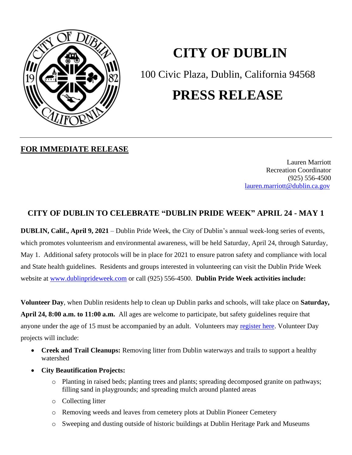

# **CITY OF DUBLIN**

100 Civic Plaza, Dublin, California 94568

## **PRESS RELEASE**

## **FOR IMMEDIATE RELEASE**

Lauren Marriott Recreation Coordinator (925) 556-4500 <lauren.marriott@dublin.ca.gov>

## **CITY OF DUBLIN TO CELEBRATE "DUBLIN PRIDE WEEK" APRIL 24 - MAY 1**

**DUBLIN, Calif., April 9, 2021** – Dublin Pride Week, the City of Dublin's annual week-long series of events, which promotes volunteerism and environmental awareness, will be held Saturday, April 24, through Saturday, May 1. Additional safety protocols will be in place for 2021 to ensure patron safety and compliance with local and State health guidelines. Residents and groups interested in volunteering can visit the Dublin Pride Week website at [www.dublinprideweek.com](http://www.dublinprideweek.com/) or call (925) 556-4500. **Dublin Pride Week activities include:**

**Volunteer Day**, when Dublin residents help to clean up Dublin parks and schools, will take place on **Saturday, April 24, 8:00 a.m. to 11:00 a.m.** All ages are welcome to participate, but safety guidelines require that anyone under the age of 15 must be accompanied by an adult. Volunteers may [register here.](https://www.eventbrite.com/e/dublin-pride-volunteer-day-2021-tickets-122110721455) Volunteer Day projects will include:

- **Creek and Trail Cleanups:** Removing litter from Dublin waterways and trails to support a healthy watershed
- **City Beautification Projects:**
	- o Planting in raised beds; planting trees and plants; spreading decomposed granite on pathways; filling sand in playgrounds; and spreading mulch around planted areas
	- o Collecting litter
	- o Removing weeds and leaves from cemetery plots at Dublin Pioneer Cemetery
	- o Sweeping and dusting outside of historic buildings at Dublin Heritage Park and Museums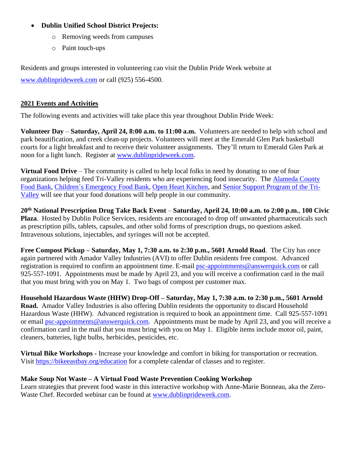### • **Dublin Unified School District Projects:**

- o Removing weeds from campuses
- o Paint touch-ups

Residents and groups interested in volunteering can visit the Dublin Pride Week website at [www.dublinprideweek.com](http://www.dublinprideweek.com/) or call (925) 556-4500.

#### **2021 Events and Activities**

The following events and activities will take place this year throughout Dublin Pride Week:

**Volunteer Day** – **Saturday, April 24, 8:00 a.m. to 11:00 a.m.** Volunteers are needed to help with school and park beautification, and creek clean-up projects. Volunteers will meet at the Emerald Glen Park basketball courts for a light breakfast and to receive their volunteer assignments. They'll return to Emerald Glen Park at noon for a light lunch. Register at [www.dublinprideweek.com.](http://www.dublinprideweek.com/)

**Virtual Food Drive** – The community is called to help local folks in need by donating to one of four organizations helping feed Tri-Valley residents who are experiencing food insecurity. The [Alameda County](https://donate.accfb.org/)  [Food Bank,](https://donate.accfb.org/) [Children's Emergency Food Bank,](https://www.childrensemergencyfoodbank.org/donate.html) [Open Heart Kitchen,](https://www.openheartkitchen.org/donate/) and Senior Support [Program of the Tri-](https://www.ssptv.org/donate.html)[Valley](https://www.ssptv.org/donate.html) will see that your food donations will help people in our community.

**20th National Prescription Drug Take Back Event** – **Saturday, April 24, 10:00 a.m. to 2:00 p.m.**, **100 Civic Plaza**. Hosted by Dublin Police Services, residents are encouraged to drop off unwanted pharmaceuticals such as prescription pills, tablets, capsules, and other solid forms of prescription drugs, no questions asked. Intravenous solutions, injectables, and syringes will not be accepted.

**Free Compost Pickup – Saturday, May 1, 7:30 a.m. to 2:30 p.m., 5601 Arnold Road**. The City has once again partnered with Amador Valley Industries (AVI) to offer Dublin residents free compost. Advanced registration is required to confirm an appointment time. E-mail [psc-appointments@answerquick.com](mailto:psc-appointments@answerquick.com) or call 925-557-1091. Appointments must be made by April 23, and you will receive a confirmation card in the mail that you must bring with you on May 1. Two bags of compost per customer max.

**Household Hazardous Waste (HHW) Drop-Off – Saturday, May 1, 7:30 a.m. to 2:30 p.m., 5601 Arnold Road.** Amador Valley Industries is also offering Dublin residents the opportunity to discard Household Hazardous Waste (HHW). Advanced registration is required to book an appointment time. Call 925-557-1091 or email [psc-appointments@answerquick.com.](mailto:psc-appointments@answerquick.com) Appointments must be made by April 23, and you will receive a confirmation card in the mail that you must bring with you on May 1. Eligible items include motor oil, paint, cleaners, batteries, light bulbs, herbicides, pesticides, etc.

**Virtual Bike Workshops -** Increase your knowledge and comfort in biking for transportation or recreation. Visit <https://bikeeastbay.org/education> for a complete calendar of classes and to register.

#### **Make Soup Not Waste – A Virtual Food Waste Prevention Cooking Workshop**

Learn strategies that prevent food waste in this interactive workshop with Anne-Marie Bonneau, aka the Zero-Waste Chef. Recorded webinar can be found at [www.dublinprideweek.com.](http://www.dublinprideweek.com/)